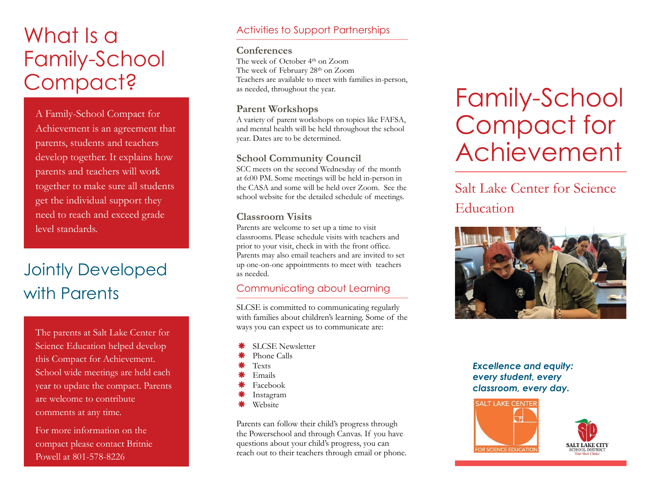# What Is a Family-School Compact?

A Family-School Compact for Achievement is an agreement that parents, students and teachers develop together. It explains how parents and teachers will work together to make sure all students get the individual support they need to reach and exceed grade level standards.

## Jointly Developed with Parents

The parents at Salt Lake Center for Science Education helped develop this Compact for Achievement. School wide meetings are held each year to update the compact. Parents are welcome to contribute comments at any time.

For more information on the compact please contact Britnie Powell at 801-578-8226

#### Activities to Support Partnerships

#### **Conferences**

The week of October 4th on Zoom The week of February 28<sup>th</sup> on Zoom Teachers are available to meet with families in-person, as needed, throughout the year.

#### **Parent Workshops**

A variety of parent workshops on topics like FAFSA, and mental health will be held throughout the school year. Dates are to be determined.

#### **School Community Council**

SCC meets on the second Wednesday of the month at 6:00 PM. Some meetings will be held in-person in the CASA and some will be held over Zoom. See the school website for the detailed schedule of meetings.

#### **Classroom Visits**

Parents are welcome to set up a time to visit classrooms. Please schedule visits with teachers and prior to your visit, check in with the front office. Parents may also email teachers and are invited to set up one-on-one appointments to meet with teachers as needed.

#### Communicating about Learning

SLCSE is committed to communicating regularly with families about children's learning. Some of the ways you can expect us to communicate are:

- SLCSE Newsletter
- Phone Calls
- **Texts**
- Emails
- Facebook
- Instagram
- Website

Parents can follow their child's progress through the Powerschool and through Canvas. If you have questions about your child's progress, you can reach out to their teachers through email or phone.

# Family-School Compact for Achievement

### Salt Lake Center for Science Education



#### *Excellence and equity: every student, every classroom, every day.*